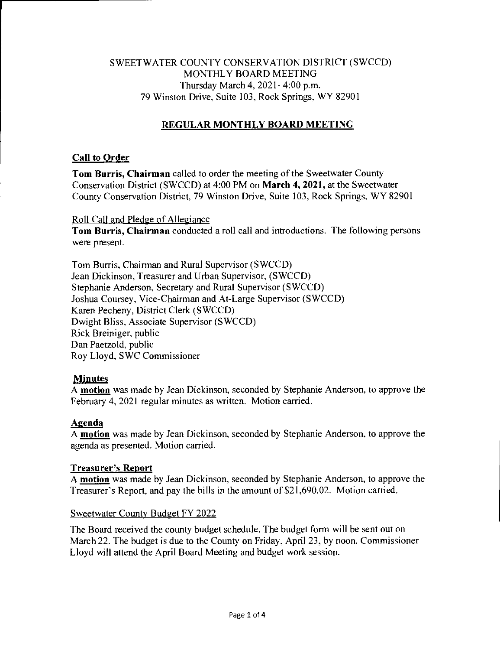## SWEETWATER COUNTY CONSERVATION DISTRICT (SWCCD) MONTHLY BOARD MEETING Thursday March 4, 2021- 4:00 p.m. 79 Winston Drive, Suite 103, Rock Springs, WY 82901

# **REGULAR MONTHLY BOARD MEETING**

### **Call to Order**

**Tom Burris, Chairman** called to order the meeting of the Sweetwater County Conservation District (SWCCD) at 4:00 PM on **March 4, 2021,** at the Sweetwater County Conservation District, 79 Winston Drive, Suite 103, Rock Springs, WY 82901

#### Roll Call and Pledge of Allegiance

**Tom Burris, Chairman** conducted a roll call and introductions. The following persons were present.

Tom Burris, Chairman and Rural Supervisor (SWCCD) Jean Dickinson, Treasurer and Urban Supervisor, (SWCCD) Stephanie Anderson, Secretary and Rural Supervisor (SWCCD) Joshua Coursey, Vice-Chairman and At-Large Supervisor (SWCCD) Karen Pecheny, District Clerk (SWCCD) Dwight Bliss, Associate Supervisor (SWCCD) Rick Breiniger, public Dan Paetzold, public Roy Lloyd, SWC Commissioner

## **Minutes**

A **motion** was made by Jean Dickinson, seconded by Stephanie Anderson, to approve the February 4, 2021 regular minutes as written. Motion carried.

## **Agenda**

A **motion** was made by Jean Dickinson, seconded by Stephanie Anderson, to approve the agenda as presented. Motion carried.

## **Treasurer's Report**

A **motion** was made by Jean Dickinson, seconded by Stephanie Anderson, to approve the Treasurer's Report, and pay the bills in the amount of \$21,690.02. Motion carried.

#### Sweetwater County Budget FY 2022

The Board received the county budget schedule. The budget form will be sent out on March 22. The budget is due to the County on Friday, April 23, by noon. Commissioner Lloyd will attend the April Board Meeting and budget work session.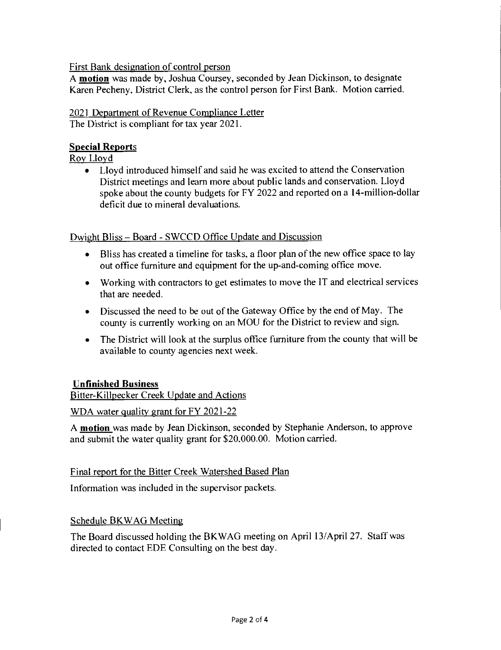First Bank designation of control person

A **motion** was made by, Joshua Coursey, seconded by Jean Dickinson, to designate Karen Pecheny, District Clerk, as the control person for First Bank. Motion carried.

2021 Department of Revenue Compliance Letter The District is compliant for tax year 2021.

## **Special Reports**

Roy Lloyd

• Lloyd introduced himself and said he was excited to attend the Conservation District meetings and learn more about public lands and conservation. Lloyd spoke about the county budgets for FY 2022 and reported on a 14-million-dollar deficit due to mineral devaluations.

Dwight Bliss — Board - SWCCD Office Update and Discussion

- Bliss has created a timeline for tasks, a floor plan of the new office space to lay out office furniture and equipment for the up-and-coming office move.
- Working with contractors to get estimates to move the IT and electrical services that are needed.
- Discussed the need to be out of the Gateway Office by the end of May. The county is currently working on an MOU for the District to review and sign.
- The District will look at the surplus office furniture from the county that will be available to county agencies next week.

## **Unfinished Business**

Bitter-Killpecker Creek Update and Actions

WDA water quality grant for FY 2021-22

A **motion** was made by Jean Dickinson, seconded by Stephanie Anderson, to approve and submit the water quality grant for \$20,000.00. Motion carried.

## Final report for the Bitter Creek Watershed Based Plan

Information was included in the supervisor packets.

#### Schedule BKWAG Meeting

The Board discussed holding the BKWAG meeting on April 13/April 27. Staff was directed to contact EDE Consulting on the best day.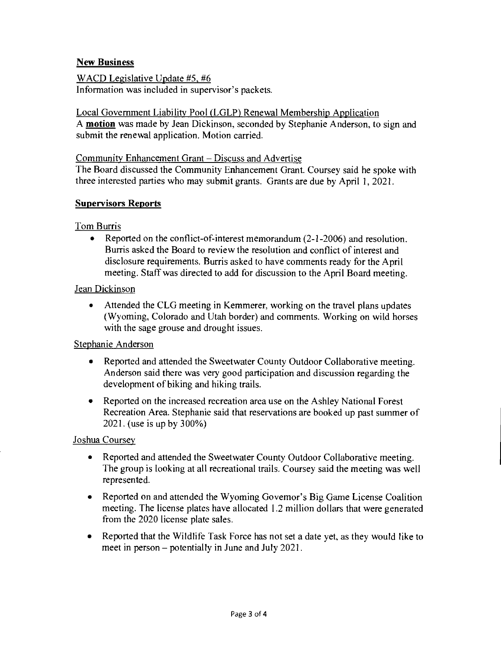## **New Business**

WACD Legislative Update #5, #6 Information was included in supervisor's packets.

Local Government Liability Pool (LGLP) Renewal Membership Application A **motion** was made by Jean Dickinson, seconded by Stephanie Anderson, to sign and submit the renewal application. Motion carried.

#### Community Enhancement Grant — Discuss and Advertise

The Board discussed the Community Enhancement Grant. Coursey said he spoke with three interested parties who may submit grants. Grants are due by April 1, 2021.

### **Supervisors Reports**

### Tom Burris

• Reported on the conflict-of-interest memorandum (2-1-2006) and resolution. Burris asked the Board to review the resolution and conflict of interest and disclosure requirements. Burris asked to have comments ready for the April meeting. Staff was directed to add for discussion to the April Board meeting.

#### Jean Dickinson

• Attended the CLG meeting in Kemmerer, working on the travel plans updates (Wyoming, Colorado and Utah border) and comments. Working on wild horses with the sage grouse and drought issues.

#### Stephanie Anderson

- Reported and attended the Sweetwater County Outdoor Collaborative meeting. Anderson said there was very good participation and discussion regarding the development of biking and hiking trails.
- Reported on the increased recreation area use on the Ashley National Forest Recreation Area. Stephanie said that reservations are booked up past summer of 2021. (use is up by 300%)

## Joshua Coursey

- Reported and attended the Sweetwater County Outdoor Collaborative meeting. The group is looking at all recreational trails. Coursey said the meeting was well represented.
- Reported on and attended the Wyoming Governor's Big Game License Coalition meeting. The license plates have allocated 1.2 million dollars that were generated from the 2020 license plate sales.
- Reported that the Wildlife Task Force has not set a date yet, as they would like to meet in person — potentially in June and July 2021.